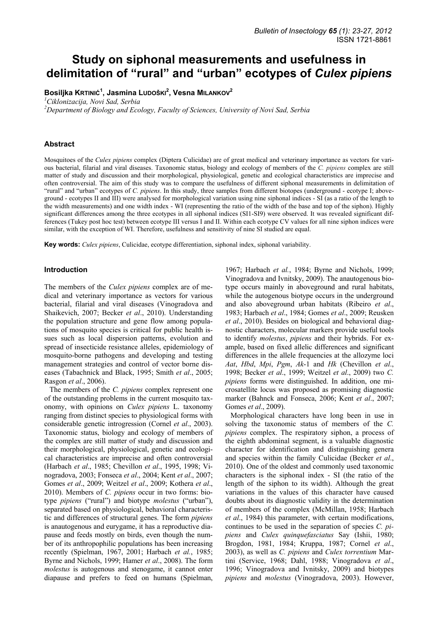# **Study on siphonal measurements and usefulness in delimitation of "rural" and "urban" ecotypes of** *Culex pipiens*

**Bosiljka KRTINIĆ<sup>1</sup> , Jasmina LUDOŠKI<sup>2</sup> , Vesna MILANKOV<sup>2</sup>**

*1 Ciklonizacija, Novi Sad, Serbia* 

*2 Department of Biology and Ecology, Faculty of Sciences, University of Novi Sad, Serbia* 

# **Abstract**

Mosquitoes of the *Culex pipiens* complex (Diptera Culicidae) are of great medical and veterinary importance as vectors for various bacterial, filarial and viral diseases. Taxonomic status, biology and ecology of members of the *C. pipiens* complex are still matter of study and discussion and their morphological, physiological, genetic and ecological characteristics are imprecise and often controversial. The aim of this study was to compare the usefulness of different siphonal measurements in delimitation of "rural" and "urban" ecotypes of *C. pipiens*. In this study, three samples from different biotopes (underground - ecotype I; aboveground - ecotypes II and III) were analysed for morphological variation using nine siphonal indices - SI (as a ratio of the length to the width measurements) and one width index - WI (representing the ratio of the width of the base and top of the siphon). Highly significant differences among the three ecotypes in all siphonal indices (SI1-SI9) were observed. It was revealed significant differences (Tukey post hoc test) between ecotype III versus I and II. Within each ecotype CV values for all nine siphon indices were similar, with the exception of WI. Therefore, usefulness and sensitivity of nine SI studied are equal.

**Key words:** *Culex pipiens*, Culicidae, ecotype differentiation, siphonal index, siphonal variability.

#### **Introduction**

The members of the *Culex pipiens* complex are of medical and veterinary importance as vectors for various bacterial, filarial and viral diseases (Vinogradova and Shaikevich, 2007; Becker *et al*., 2010). Understanding the population structure and gene flow among populations of mosquito species is critical for public health issues such as local dispersion patterns, evolution and spread of insecticide resistance alleles, epidemiology of mosquito-borne pathogens and developing and testing management strategies and control of vector borne diseases (Tabachnick and Black, 1995; Smith *et al*., 2005; Rasgon *et al*., 2006).

The members of the *C. pipiens* complex represent one of the outstanding problems in the current mosquito taxonomy, with opinions on *Culex pipiens* L. taxonomy ranging from distinct species to physiological forms with considerable genetic introgression (Cornel *et al*., 2003). Taxonomic status, biology and ecology of members of the complex are still matter of study and discussion and their morphological, physiological, genetic and ecological characteristics are imprecise and often controversial (Harbach *et al*., 1985; Chevillon *et al*., 1995, 1998; Vinogradova, 2003; Fonseca *et al*., 2004; Kent *et al*., 2007; Gomes *et al*., 2009; Weitzel *et al*., 2009; Kothera *et al*., 2010). Members of *C. pipiens* occur in two forms: biotype *pipiens* ("rural") and biotype *molestus* ("urban"), separated based on physiological, behavioral characteristic and differences of structural genes. The form *pipiens* is anautogenous and eurygame, it has a reproductive diapause and feeds mostly on birds, even though the number of its anthropophilic populations has been increasing recently (Spielman, 1967, 2001; Harbach *et al.*, 1985; Byrne and Nichols, 1999; Hamer *et al*., 2008). The form *molestus* is autogenous and stenogame, it cannot enter diapause and prefers to feed on humans (Spielman,

1967; Harbach *et al.*, 1984; Byrne and Nichols, 1999; Vinogradova and Ivnitsky, 2009). The anautogenous biotype occurs mainly in aboveground and rural habitats, while the autogenous biotype occurs in the underground and also aboveground urban habitats (Ribeiro *et al*., 1983; Harbach *et al*., 1984; Gomes *et al*., 2009; Reusken *et al*., 2010). Besides on biological and behavioral diagnostic characters, molecular markers provide useful tools to identify *molestus*, *pipiens* and their hybrids. For example, based on fixed allelic differences and significant differences in the allele frequencies at the allozyme loci *Aat*, *Hbd*, *Mpi*, *Pgm*, *Ak*-1 and *Hk* (Chevillon *et al*., 1998; Becker *et al*., 1999; Weitzel *et al*., 2009) two *C. pipiens* forms were distinguished. In addition, one microsatellite locus was proposed as promising diagnostic marker (Bahnck and Fonseca, 2006; Kent *et al*., 2007; Gomes *et al*., 2009).

Morphological characters have long been in use in solving the taxonomic status of members of the *C. pipiens* complex. The respiratory siphon, a process of the eighth abdominal segment, is a valuable diagnostic character for identification and distinguishing genera and species within the family Culicidae (Becker *et al*., 2010). One of the oldest and commonly used taxonomic characters is the siphonal index - SI (the ratio of the length of the siphon to its width). Although the great variations in the values of this character have caused doubts about its diagnostic validity in the determination of members of the complex (McMillan, 1958; Harbach *et al*., 1984) this parameter, with certain modifications, continues to be used in the separation of species *C. pipiens* and *Culex quinquefasciatus* Say (Ishii, 1980; Brogdon, 1981, 1984; Kruppa, 1987; Cornel *et al*., 2003), as well as *C. pipiens* and *Culex torrentium* Martini (Service, 1968; Dahl, 1988; Vinogradova *et al*., 1996; Vinogradova and Ivnitsky, 2009) and biotypes *pipiens* and *molestus* (Vinogradova, 2003). However,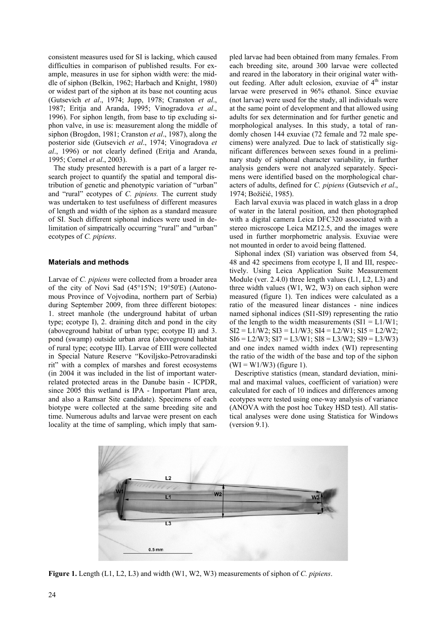consistent measures used for SI is lacking, which caused difficulties in comparison of published results. For example, measures in use for siphon width were: the middle of siphon (Belkin, 1962; Harbach and Knight, 1980) or widest part of the siphon at its base not counting acus (Gutsevich *et al*., 1974; Jupp, 1978; Cranston *et al*., 1987; Eritja and Aranda, 1995; Vinogradova *et al*., 1996). For siphon length, from base to tip excluding siphon valve, in use is: measurement along the middle of siphon (Brogdon, 1981; Cranston *et al*., 1987), along the posterior side (Gutsevich *et al*., 1974; Vinogradova *et al*., 1996) or not clearly defined (Eritja and Aranda, 1995; Cornel *et al*., 2003).

The study presented herewith is a part of a larger research project to quantify the spatial and temporal distribution of genetic and phenotypic variation of "urban" and "rural" ecotypes of *C. pipiens.* The current study was undertaken to test usefulness of different measures of length and width of the siphon as a standard measure of SI. Such different siphonal indices were used in delimitation of simpatrically occurring "rural" and "urban" ecotypes of *C. pipiens*.

# **Materials and methods**

Larvae of *C. pipiens* were collected from a broader area of the city of Novi Sad (45°15'N; 19°50'E) (Autonomous Province of Vojvodina, northern part of Serbia) during September 2009, from three different biotopes: 1. street manhole (the underground habitat of urban type; ecotype I), 2. draining ditch and pond in the city (aboveground habitat of urban type; ecotype II) and 3. pond (swamp) outside urban area (aboveground habitat of rural type; ecotype III). Larvae of EIII were collected in Special Nature Reserve "Koviljsko-Petrovaradinski rit" with a complex of marshes and forest ecosystems (in 2004 it was included in the list of important waterrelated protected areas in the Danube basin - ICPDR, since 2005 this wetland is IPA - Important Plant area, and also a Ramsar Site candidate). Specimens of each biotype were collected at the same breeding site and time. Numerous adults and larvae were present on each locality at the time of sampling, which imply that sampled larvae had been obtained from many females. From each breeding site, around 300 larvae were collected and reared in the laboratory in their original water without feeding. After adult eclosion, exuviae of  $4<sup>th</sup>$  instar larvae were preserved in 96% ethanol. Since exuviae (not larvae) were used for the study, all individuals were at the same point of development and that allowed using adults for sex determination and for further genetic and morphological analyses. In this study, a total of randomly chosen 144 exuviae (72 female and 72 male specimens) were analyzed. Due to lack of statistically significant differences between sexes found in a preliminary study of siphonal character variability, in further analysis genders were not analyzed separately. Specimens were identified based on the morphological characters of adults, defined for *C. pipiens* (Gutsevich *et al*., 1974; Božičić, 1985).

Each larval exuvia was placed in watch glass in a drop of water in the lateral position, and then photographed with a digital camera Leica DFC320 associated with a stereo microscope Leica MZ12.5, and the images were used in further morphometric analysis. Exuviae were not mounted in order to avoid being flattened.

Siphonal index (SI) variation was observed from 54, 48 and 42 specimens from ecotype I, II and III, respectively. Using Leica Application Suite Measurement Module (ver. 2.4.0) three length values (L1, L2, L3) and three width values (W1, W2, W3) on each siphon were measured (figure 1). Ten indices were calculated as a ratio of the measured linear distances - nine indices named siphonal indices (SI1-SI9) representing the ratio of the length to the width measurements  $(SI1 = L1/W1)$ ;  $SI2 = L1/W2$ ;  $SI3 = L1/W3$ ;  $SI4 = L2/W1$ ;  $SI5 = L2/W2$ ;  $SI6 = L2/W3$ ;  $SI7 = L3/W1$ ;  $SI8 = L3/W2$ ;  $SI9 = L3/W3$ ) and one index named width index (WI) representing the ratio of the width of the base and top of the siphon  $(WI = W1/W3)$  (figure 1).

Descriptive statistics (mean, standard deviation, minimal and maximal values, coefficient of variation) were calculated for each of 10 indices and differences among ecotypes were tested using one-way analysis of variance (ANOVA with the post hoc Tukey HSD test). All statistical analyses were done using Statistica for Windows (version 9.1).



**Figure 1.** Length (L1, L2, L3) and width (W1, W2, W3) measurements of siphon of *C. pipiens*.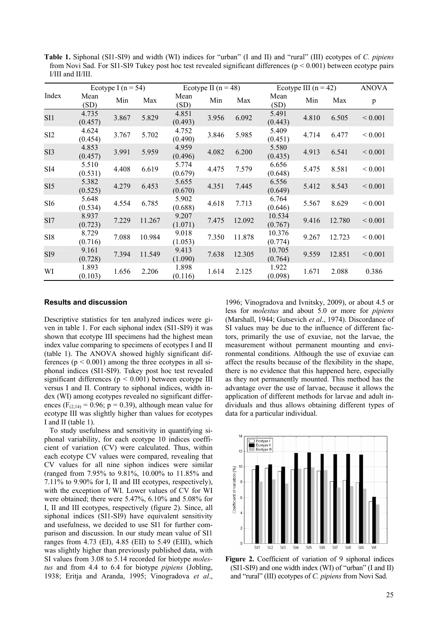**Table 1.** Siphonal (SI1-SI9) and width (WI) indices for "urban" (I and II) and "rural" (III) ecotypes of *C. pipiens* from Novi Sad. For SI1-SI9 Tukey post hoc test revealed significant differences ( $p < 0.001$ ) between ecotype pairs I/III and II/III.

|                 | Ecotype I ( $n = 54$ ) |       |        | Ecotype II $(n = 48)$ |       |        | Ecotype III $(n = 42)$ |       |        | <b>ANOVA</b> |
|-----------------|------------------------|-------|--------|-----------------------|-------|--------|------------------------|-------|--------|--------------|
| Index           | Mean<br>(SD)           | Min   | Max    | Mean<br>(SD)          | Min   | Max    | Mean<br>(SD)           | Min   | Max    | p            |
| SI1             | 4.735<br>(0.457)       | 3.867 | 5.829  | 4.851<br>(0.493)      | 3.956 | 6.092  | 5.491<br>(0.443)       | 4.810 | 6.505  | ${}_{0.001}$ |
| SI <sub>2</sub> | 4.624<br>(0.454)       | 3.767 | 5.702  | 4.752<br>(0.490)      | 3.846 | 5.985  | 5.409<br>(0.451)       | 4.714 | 6.477  | ${}_{0.001}$ |
| SI <sub>3</sub> | 4.853<br>(0.457)       | 3.991 | 5.959  | 4.959<br>(0.496)      | 4.082 | 6.200  | 5.580<br>(0.435)       | 4.913 | 6.541  | ${}_{0.001}$ |
| SI <sub>4</sub> | 5.510<br>(0.531)       | 4.408 | 6.619  | 5.774<br>(0.679)      | 4.475 | 7.579  | 6.656<br>(0.648)       | 5.475 | 8.581  | ${}_{0.001}$ |
| SI <sub>5</sub> | 5.382<br>(0.525)       | 4.279 | 6.453  | 5.655<br>(0.670)      | 4.351 | 7.445  | 6.556<br>(0.649)       | 5.412 | 8.543  | ${}_{0.001}$ |
| SI <sub>6</sub> | 5.648<br>(0.534)       | 4.554 | 6.785  | 5.902<br>(0.688)      | 4.618 | 7.713  | 6.764<br>(0.646)       | 5.567 | 8.629  | ${}_{0.001}$ |
| SI7             | 8.937<br>(0.723)       | 7.229 | 11.267 | 9.207<br>(1.071)      | 7.475 | 12.092 | 10.534<br>(0.767)      | 9.416 | 12.780 | ${}_{0.001}$ |
| SI <sub>8</sub> | 8.729<br>(0.716)       | 7.088 | 10.984 | 9.018<br>(1.053)      | 7.350 | 11.878 | 10.376<br>(0.774)      | 9.267 | 12.723 | ${}_{0.001}$ |
| SI <sub>9</sub> | 9.161<br>(0.728)       | 7.394 | 11.549 | 9.413<br>(1.090)      | 7.638 | 12.305 | 10.705<br>(0.764)      | 9.559 | 12.851 | ${}_{0.001}$ |
| WI              | 1.893<br>(0.103)       | 1.656 | 2.206  | 1.898<br>(0.116)      | 1.614 | 2.125  | 1.922<br>(0.098)       | 1.671 | 2.088  | 0.386        |

#### **Results and discussion**

Descriptive statistics for ten analyzed indices were given in table 1. For each siphonal index (SI1-SI9) it was shown that ecotype III specimens had the highest mean index value comparing to specimens of ecotypes I and II (table 1). The ANOVA showed highly significant differences ( $p < 0.001$ ) among the three ecotypes in all siphonal indices (SI1-SI9). Tukey post hoc test revealed significant differences ( $p < 0.001$ ) between ecotype III versus I and II. Contrary to siphonal indices, width index (WI) among ecotypes revealed no significant differences ( $F_{(2,14)} = 0.96$ ; p = 0.39), although mean value for ecotype III was slightly higher than values for ecotypes I and II (table 1).

To study usefulness and sensitivity in quantifying siphonal variability, for each ecotype 10 indices coefficient of variation (CV) were calculated. Thus, within each ecotype CV values were compared, revealing that CV values for all nine siphon indices were similar (ranged from 7.95% to 9.81%, 10.00% to 11.85% and 7.11% to 9.90% for I, II and III ecotypes, respectively), with the exception of WI. Lower values of CV for WI were obtained; there were 5.47%, 6.10% and 5.08% for I, II and III ecotypes, respectively (figure 2). Since, all siphonal indices (SI1-SI9) have equivalent sensitivity and usefulness, we decided to use SI1 for further comparison and discussion. In our study mean value of SI1 ranges from 4.73 (EI), 4.85 (EII) to 5.49 (EIII), which was slightly higher than previously published data, with SI values from 3.08 to 5.14 recorded for biotype *molestus* and from 4.4 to 6.4 for biotype *pipiens* (Jobling, 1938; Eritja and Aranda, 1995; Vinogradova *et al*.,

1996; Vinogradova and Ivnitsky, 2009), or about 4.5 or less for *molestus* and about 5.0 or more for *pipiens* (Marshall, 1944; Gutsevich *et al*., 1974). Discordance of SI values may be due to the influence of different factors, primarily the use of exuviae, not the larvae, the measurement without permanent mounting and environmental conditions. Although the use of exuviae can affect the results because of the flexibility in the shape, there is no evidence that this happened here, especially as they not permanently mounted. This method has the advantage over the use of larvae, because it allows the application of different methods for larvae and adult individuals and thus allows obtaining different types of data for a particular individual.



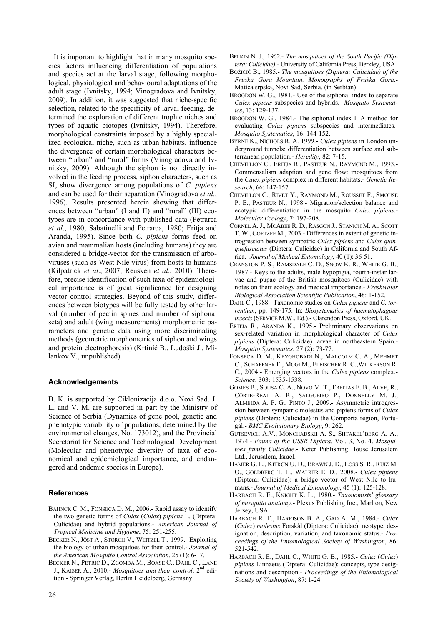It is important to highlight that in many mosquito species factors influencing differentiation of populations and species act at the larval stage, following morphological, physiological and behavioural adaptations of the adult stage (Ivnitsky, 1994; Vinogradova and Ivnitsky, 2009). In addition, it was suggested that niche-specific selection, related to the specificity of larval feeding, determined the exploration of different trophic niches and types of aquatic biotopes (Ivnitsky, 1994). Therefore, morphological constraints imposed by a highly specialized ecological niche, such as urban habitats, influence the divergence of certain morphological characters between "urban" and "rural" forms (Vinogradova and Ivnitsky, 2009). Although the siphon is not directly involved in the feeding process, siphon characters, such as SI, show divergence among populations of *C. pipiens* and can be used for their separation (Vinogradova *et al.*, 1996). Results presented herein showing that differences between "urban" (I and II) and "rural" (III) ecotypes are in concordance with published data (Petrarca *et al*., 1980; Sabatinelli and Petrarca, 1980; Eritja and Aranda, 1995). Since both *C. pipiens* forms feed on avian and mammalian hosts (including humans) they are considered a bridge-vector for the transmission of arboviruses (such as West Nile virus) from hosts to humans (Kilpatrick *et al*., 2007; Reusken *et al*., 2010). Therefore, precise identification of such taxa of epidemiological importance is of great significance for designing vector control strategies. Beyond of this study, differences between biotypes will be fully tested by other larval (number of pectin spines and number of siphonal seta) and adult (wing measurements) morphometric parameters and genetic data using more discriminating methods (geometric morphometrics of siphon and wings and protein electrophoresis) (Krtinić B., Ludoški J., Milankov V., unpublished).

## **Acknowledgements**

B. K. is supported by Ciklonizacija d.o.o. Novi Sad. J. L. and V. M. are supported in part by the Ministry of Science of Serbia (Dynamics of gene pool, genetic and phenotypic variability of populations, determined by the environmental changes, No. 173012), and the Provincial Secretariat for Science and Technological Development (Molecular and phenotypic diversity of taxa of economical and epidemiological importance, and endangered and endemic species in Europe).

## **References**

- BAHNCK C. M., FONSECA D. M., 2006.- Rapid assay to identify the two genetic forms of *Culex* (*Culex*) *pipiens* L. (Diptera: Culicidae) and hybrid populations.- *American Journal of Tropical Medicine and Hygiene*, 75: 251-255.
- BECKER N., JÖST A., STORCH V., WEITZEL T., 1999.- Exploiting the biology of urban mosquitoes for their control.- *Journal of the American Mosquito Control Association*, 25 (1): 6-17.
- BECKER N., PETRIĆ D., ZGOMBA M., BOASE C., DAHL C., LANE J., KAISER A., 2010.- *Mosquitoes and their control*. 2nd edition.- Springer Verlag, Berlin Heidelberg, Germany.
- BELKIN N. J., 1962.- *The mosquitoes of the South Pacific (Diptera: Culicidae)*.- University of California Press, Berkley, USA.
- BOŽIČIĆ B., 1985.- *The mosquitoes (Diptera: Culicidae) of the Fruška Gora Mountain. Monographs of Fruška Gora*.- Matica srpska, Novi Sad, Serbia. (in Serbian)
- BROGDON W. G., 1981.- Use of the siphonal index to separate *Culex pipiens* subspecies and hybrids.- *Mosquito Systematics*, 13: 129-137.
- BROGDON W. G., 1984.- The siphonal index I. A method for evaluating *Culex pipiens* subspecies and intermediates.- *Mosquito Systematics*, 16: 144-152.
- BYRNE K., NICHOLS R. A. 1999.- *Culex pipiens* in London underground tunnels: differentiation between surface and subterranean population.- *Heredity*, 82: 7-15.
- CHEVILLION C., ERITJA R., PASTEUR N., RAYMOND M., 1993.- Commensalism adaption and gene flow: mosquitoes from the *Culex pipiens* complex in different habitats.- *Genetic Research*, 66: 147-157.
- CHEVILLON C., RIVET Y., RAYMOND M., ROUSSET F., SMOUSE P. E., PASTEUR N., 1998.- Migration/selection balance and ecotypic differentiation in the mosquito *Culex pipiens*.- *Molecular Ecology*, 7: 197-208.
- CORNEL A. J., MCABEE R. D., RASGON J., STANICH M. A., SCOTT T. W., COETZEE M., 2003.- Differences in extent of genetic introgression between sympatric *Culex pipiens* and *Culex quinquefasciatus* (Diptera: Culicidae) in California and South Africa.- *Journal of Medical Entomology*, 40 (1): 36-51.
- CRANSTON P. S., RAMSDALE C. D., SNOW K. R., WHITE G. B., 1987.- Keys to the adults, male hypopigia, fourth-instar larvae and pupae of the British mosquitoes (Culicidae) with notes on their ecology and medical importance.- *Freshwater Biological Association Scientific Publication*, 48: 1-152.
- DAHL C., 1988.- Taxonomic studies on *Culex pipiens* and *C. torrentium*, pp. 149-175. In: *Biosystematics of haematophagous insects* (SERVICE M.W., Ed.).- Clarendon Press, Oxford, UK.
- ERITJA R., ARANDA K., 1995.- Preliminary observations on sex-related variation in morphological character of *Culex pipiens* (Diptera: Culicidae) larvae in northeastern Spain.- *Mosquito Systematics*, 27 (2): 73-77.
- FONSECA D. M., KEYGHOBADI N., MALCOLM C. A., MEHMET C., SCHAFFNER F., MOGI M., FLEISCHER R. C.,WILKERSON R. C*.*, 2004.- Emerging vectors in the *Culex pipiens* complex.- *Science*, 303: 1535-1538.
- GOMES B., SOUSA C. A., NOVO M. T., FREITAS F. B., ALVE, R., CÔRTE-REAL A. R., SALGUEIRO P., DONNELLY M. J., ALMEIDA A. P. G., PINTO J., 2009.- Asymmetric introgression between sympatric molestus and pipiens forms of *Culex pipiens* (Diptera: Culicidae) in the Comporta region, Portugal.- *BMC Evolutionary Biology*, 9: 262.
- GUTSEVICH A.V., MONCHADSKII A. S., SHTAKEL'BERG A. A., 1974.- *Fauna of the USSR Diptera*. Vol. 3, No. 4. *Mosquitoes family Culicidae*.- Keter Publishing House Jerusalem Ltd., Jerusalem, Israel.
- HAMER G. L., KITRON U. D., BRAWN J. D., LOSS S. R., RUIZ M. O., GOLDBERG T. L., WALKER E. D., 2008.- *Culex pipiens* (Diptera: Culicidae): a bridge vector of West Nile to humans.- *Journal of Medical Entomology*, 45 (1): 125-128.
- HARBACH R. E., KNIGHT K. L., 1980.- *Taxonomists' glossary of mosquito anatomy.*- Plexus Publishing Inc., Marlton, New Jersey, USA.
- HARBACH R. E., HARRISON B. A., GAD A. M., 1984.- *Culex*  (*Culex*) *molestus* Forskål (Diptera: Culicidae): neotype, designation, description, variation, and taxonomic status.- *Proceedings of the Entomological Society of Washington*, 86: 521-542.
- HARBACH R. E., DAHL C., WHITE G. B., 1985.- *Culex* (*Culex*) *pipiens* Linnaeus (Diptera: Culicidae): concepts, type designations and description.- *Proceedings of the Entomological Society of Washington*, 87: 1-24.